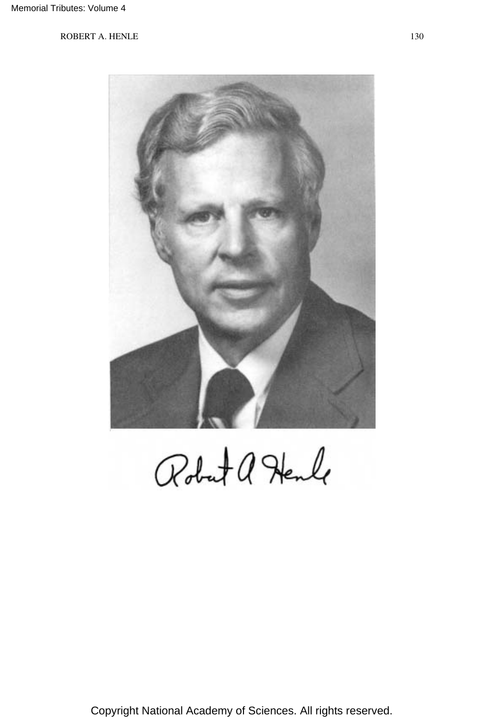# ROBERT A. HENLE 130



Robert a Henle

Copyright National Academy of Sciences. All rights reserved.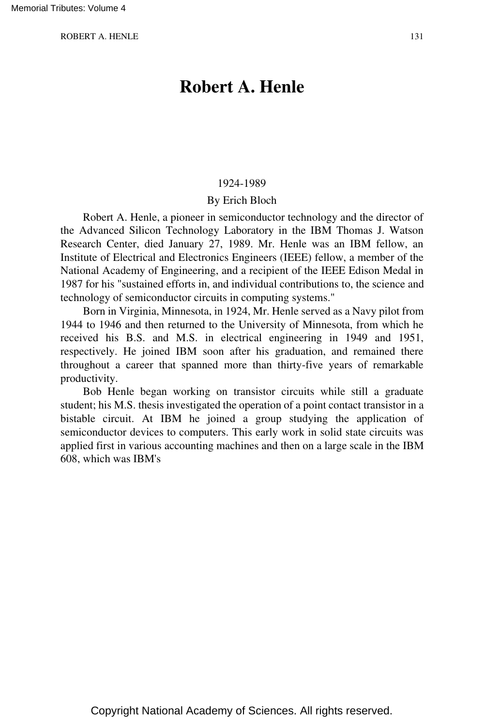# **Robert A. Henle**

#### 1924-1989

#### By Erich Bloch

Robert A. Henle, a pioneer in semiconductor technology and the director of the Advanced Silicon Technology Laboratory in the IBM Thomas J. Watson Research Center, died January 27, 1989. Mr. Henle was an IBM fellow, an Institute of Electrical and Electronics Engineers (IEEE) fellow, a member of the National Academy of Engineering, and a recipient of the IEEE Edison Medal in 1987 for his "sustained efforts in, and individual contributions to, the science and technology of semiconductor circuits in computing systems."

Born in Virginia, Minnesota, in 1924, Mr. Henle served as a Navy pilot from 1944 to 1946 and then returned to the University of Minnesota, from which he received his B.S. and M.S. in electrical engineering in 1949 and 1951, respectively. He joined IBM soon after his graduation, and remained there throughout a career that spanned more than thirty-five years of remarkable productivity.

Bob Henle began working on transistor circuits while still a graduate student; his M.S. thesis investigated the operation of a point contact transistor in a bistable circuit. At IBM he joined a group studying the application of semiconductor devices to computers. This early work in solid state circuits was applied first in various accounting machines and then on a large scale in the IBM 608, which was IBM's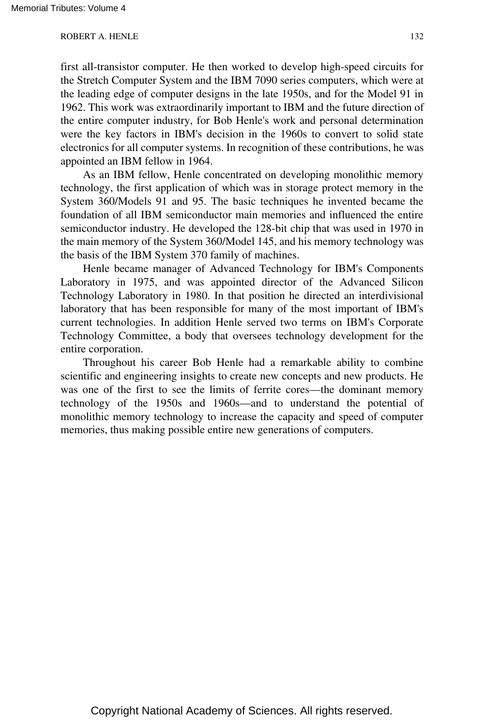## ROBERT A. HENLE 132

first all-transistor computer. He then worked to develop high-speed circuits for the Stretch Computer System and the IBM 7090 series computers, which were at the leading edge of computer designs in the late 1950s, and for the Model 91 in 1962. This work was extraordinarily important to IBM and the future direction of the entire computer industry, for Bob Henle's work and personal determination were the key factors in IBM's decision in the 1960s to convert to solid state electronics for all computer systems. In recognition of these contributions, he was appointed an IBM fellow in 1964.

As an IBM fellow, Henle concentrated on developing monolithic memory technology, the first application of which was in storage protect memory in the System 360/Models 91 and 95. The basic techniques he invented became the foundation of all IBM semiconductor main memories and influenced the entire semiconductor industry. He developed the 128-bit chip that was used in 1970 in the main memory of the System 360/Model 145, and his memory technology was the basis of the IBM System 370 family of machines.

Henle became manager of Advanced Technology for IBM's Components Laboratory in 1975, and was appointed director of the Advanced Silicon Technology Laboratory in 1980. In that position he directed an interdivisional laboratory that has been responsible for many of the most important of IBM's current technologies. In addition Henle served two terms on IBM's Corporate Technology Committee, a body that oversees technology development for the entire corporation.

Throughout his career Bob Henle had a remarkable ability to combine scientific and engineering insights to create new concepts and new products. He was one of the first to see the limits of ferrite cores—the dominant memory technology of the 1950s and 1960s—and to understand the potential of monolithic memory technology to increase the capacity and speed of computer memories, thus making possible entire new generations of computers.